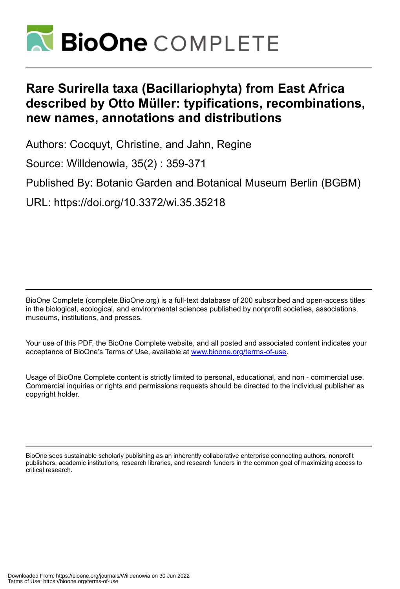

# **Rare Surirella taxa (Bacillariophyta) from East Africa described by Otto Müller: typifications, recombinations, new names, annotations and distributions**

Authors: Cocquyt, Christine, and Jahn, Regine

Source: Willdenowia, 35(2) : 359-371

Published By: Botanic Garden and Botanical Museum Berlin (BGBM)

URL: https://doi.org/10.3372/wi.35.35218

BioOne Complete (complete.BioOne.org) is a full-text database of 200 subscribed and open-access titles in the biological, ecological, and environmental sciences published by nonprofit societies, associations, museums, institutions, and presses.

Your use of this PDF, the BioOne Complete website, and all posted and associated content indicates your acceptance of BioOne's Terms of Use, available at www.bioone.org/terms-of-use.

Usage of BioOne Complete content is strictly limited to personal, educational, and non - commercial use. Commercial inquiries or rights and permissions requests should be directed to the individual publisher as copyright holder.

BioOne sees sustainable scholarly publishing as an inherently collaborative enterprise connecting authors, nonprofit publishers, academic institutions, research libraries, and research funders in the common goal of maximizing access to critical research.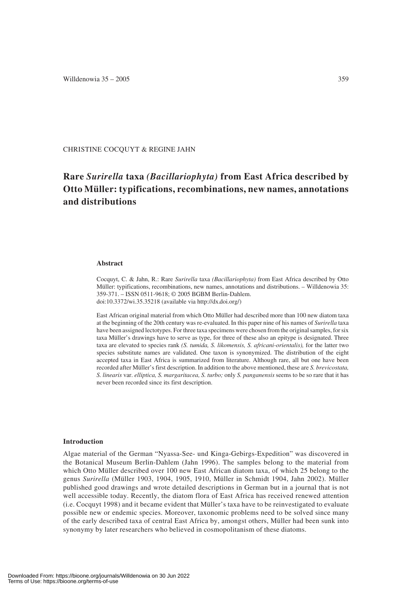CHRISTINE COCQUYT & REGINE JAHN

## **Rare** *Surirella* **taxa** *(Bacillariophyta)* **from East Africa described by Otto Müller: typifications, recombinations, new names, annotations and distributions**

#### **Abstract**

Cocquyt, C. & Jahn, R.: Rare *Surirella* taxa *(Bacillariophyta)* from East Africa described by Otto Müller: typifications, recombinations, new names, annotations and distributions. – Willdenowia 35: 359-371. – ISSN 0511-9618; © 2005 BGBM Berlin-Dahlem. doi:10.3372/wi.35.35218 (available via http://dx.doi.org/)

East African original material from which Otto Müller had described more than 100 new diatom taxa at the beginning of the 20th century was re-evaluated. In this paper nine of his names of *Surirella* taxa have been assigned lectotypes. For three taxa specimens were chosen from the original samples, for six taxa Müller's drawings have to serve as type, for three of these also an epitype is designated. Three taxa are elevated to species rank *(S. tumida, S. likomensis, S. africani-orientalis),* for the latter two species substitute names are validated. One taxon is synonymized. The distribution of the eight accepted taxa in East Africa is summarized from literature. Although rare, all but one have been recorded after Müller's first description. In addition to the above mentioned, these are *S. brevicostata, S. linearis* var. *elliptica, S. margaritacea, S. turbo;* only *S. panganensis* seems to be so rare that it has never been recorded since its first description.

#### **Introduction**

Algae material of the German "Nyassa-See- und Kinga-Gebirgs-Expedition" was discovered in the Botanical Museum Berlin-Dahlem (Jahn 1996). The samples belong to the material from which Otto Müller described over 100 new East African diatom taxa, of which 25 belong to the genus *Surirella* (Müller 1903, 1904, 1905, 1910, Müller in Schmidt 1904, Jahn 2002). Müller published good drawings and wrote detailed descriptions in German but in a journal that is not well accessible today. Recently, the diatom flora of East Africa has received renewed attention (i.e. Cocquyt 1998) and it became evident that Müller's taxa have to be reinvestigated to evaluate possible new or endemic species. Moreover, taxonomic problems need to be solved since many of the early described taxa of central East Africa by, amongst others, Müller had been sunk into synonymy by later researchers who believed in cosmopolitanism of these diatoms.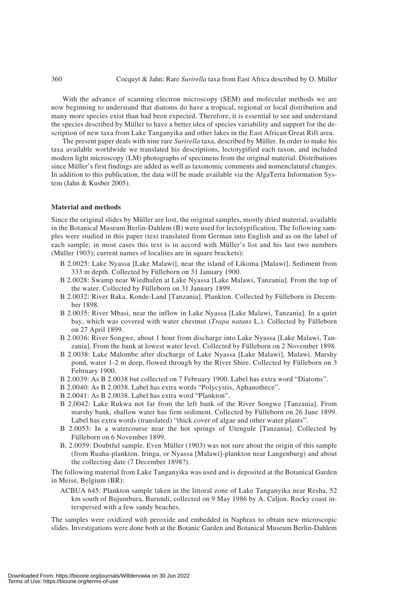With the advance of scanning electron microscopy (SEM) and molecular methods we are now beginning to understand that diatoms do have a tropical, regional or local distribution and many more species exist than had been expected. Therefore, it is essential to see and understand the species described by Müller to have a better idea of species variability and support for the description of new taxa from Lake Tanganyika and other lakes in the East African Great Rift area.

The present paper deals with nine rare *Surirella* taxa, described by Müller. In order to make his taxa available worldwide we translated his descriptions, lectotypified each taxon, and included modern light microscopy (LM) photographs of specimens from the original material. Distributions since Müller's first findings are added as well as taxonomic comments and nomenclatural changes. In addition to this publication, the data will be made available via the AlgaTerra Information System (Jahn & Kusber 2005).

#### **Material and methods**

Since the original slides by Müller are lost, the original samples, mostly dried material, available in the Botanical Museum Berlin-Dahlem (B) were used for lectotypification. The following samples were studied in this paper (text translated from German into English and as on the label of each sample; in most cases this text is in accord with Müller's list and his last two numbers (Müller 1903); current names of localites are in square brackets):

- B 2.0025: Lake Nyassa [Lake Malawi], near the island of Likoma [Malawi]. Sediment from 333 m depth. Collected by Fülleborn on 31 January 1900.
- B 2.0028: Swamp near Wiedhafen at Lake Nyassa [Lake Malawi, Tanzania]. From the top of the water. Collected by Fülleborn on 31 January 1899.
- B 2.0032: River Baka, Konde-Land [Tanzania]. Plankton. Collected by Fülleborn in December 1898.
- B 2.0035: River Mbasi, near the inflow in Lake Nyassa [Lake Malawi, Tanzania]. In a quiet bay, which was covered with water chestnut (*Trapa natans* L.). Collected by Fülleborn on 27 April 1899.
- B 2.0036: River Songwe, about 1 hour from discharge into Lake Nyassa [Lake Malawi, Tanzania]. From the bank at lowest water level. Collected by Fülleborn on 2 November 1898.
- B 2.0038: Lake Malombe after discharge of Lake Nyassa [Lake Malawi], Malawi. Marshy pond, water 1-2 m deep, flowed through by the River Shire. Collected by Fülleborn on 3 February 1900.
- B 2.0039: As B 2.0038 but collected on 7 February 1900. Label has extra word "Diatoms".
- B 2.0040: As B 2.0038. Label has extra words "Polycystis, Aphanothece".
- B 2.0041: As B 2.0038. Label has extra word "Plankton".
- B 2.0042: Lake Rukwa not far from the left bank of the River Songwe [Tanzania]. From marshy bank, shallow water has firm sediment. Collected by Fülleborn on 26 June 1899. Label has extra words (translated) "thick cover of algae and other water plants".
- B 2.0053: In a watercourse near the hot springs of Utengule [Tanzania]. Collected by Fülleborn on 6 November 1899.
- B. 2.0059: Doubtful sample. Even Müller (1903) was not sure about the origin of this sample (from Ruaha-plankton. Iringa, or Nyassa [Malawi]-plankton near Langenburg) and about the collecting date (7 December 1898?).

The following material from Lake Tanganyika was used and is deposited at the Botanical Garden in Meise, Belgium (BR):

ACBUA 645: Plankton sample taken in the littoral zone of Lake Tanganyika near Resha, 52 km south of Bujumbura, Burundi, collected on 9 May 1986 by A. Caljon. Rocky coast interspersed with a few sandy beaches.

The samples were oxidized with peroxide and embedded in Naphrax to obtain new microscopic slides. Investigations were done both at the Botanic Garden and Botanical Museum Berlin-Dahlem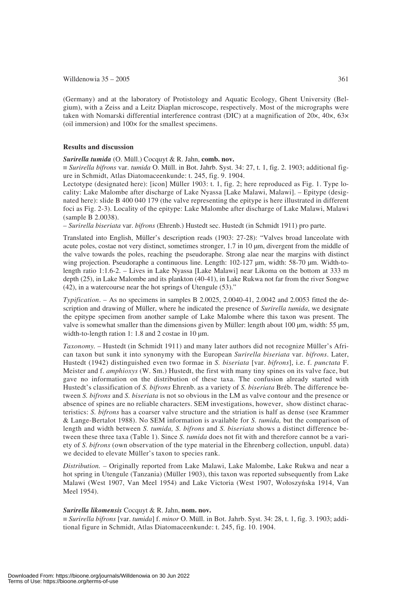(Germany) and at the laboratory of Protistology and Aquatic Ecology, Ghent University (Belgium), with a Zeiss and a Leitz Diaplan microscope, respectively. Most of the micrographs were taken with Nomarski differential interference contrast (DIC) at a magnification of 20×, 40×, 63× (oil immersion) and 100× for the smallest specimens.

#### **Results and discussion**

*Surirella tumida* (O. Müll.) Cocquyt & R. Jahn, **comb. nov.**

≡ *Surirella bifrons* var. *tumida* O. Müll. in Bot. Jahrb. Syst. 34: 27, t. 1, fig. 2. 1903; additional figure in Schmidt, Atlas Diatomaceenkunde: t. 245, fig. 9. 1904.

Lectotype (designated here): [icon] Müller 1903: t. 1, fig. 2; here reproduced as Fig. 1. Type locality: Lake Malombe after discharge of Lake Nyassa [Lake Malawi, Malawi]. – Epitype (designated here): slide B 400 040 179 (the valve representing the epitype is here illustrated in different foci as Fig. 2-3). Locality of the epitype: Lake Malombe after discharge of Lake Malawi, Malawi (sample B 2.0038).

– *Surirella biseriata* var. *bifrons* (Ehrenb.) Hustedt sec. Hustedt (in Schmidt 1911) pro parte.

Translated into English, Müller's description reads (1903: 27-28): "Valves broad lanceolate with acute poles, costae not very distinct, sometimes stronger, 1.7 in 10 μm, divergent from the middle of the valve towards the poles, reaching the pseudoraphe. Strong alae near the margins with distinct wing projection. Pseudoraphe a continuous line. Length: 102-127 μm, width: 58-70 μm. Width-tolength ratio 1:1.6-2. – Lives in Lake Nyassa [Lake Malawi] near Likoma on the bottom at 333 m depth (25), in Lake Malombe and its plankton (40-41), in Lake Rukwa not far from the river Songwe (42), in a watercourse near the hot springs of Utengule (53)."

*Typification*. – As no specimens in samples B 2.0025, 2.0040-41, 2.0042 and 2.0053 fitted the description and drawing of Müller, where he indicated the presence of *Surirella tumida*, we designate the epitype specimen from another sample of Lake Malombe where this taxon was present. The valve is somewhat smaller than the dimensions given by Müller: length about 100 μm, width: 55 μm, width-to-length ration 1: 1.8 and 2 costae in 10 μm.

*Taxonomy.* – Hustedt (in Schmidt 1911) and many later authors did not recognize Müller's African taxon but sunk it into synonymy with the European *Surirella biseriata* var. *bifrons*. Later, Hustedt (1942) distinguished even two formae in *S. biseriata* [var. *bifrons*], i.e. f. *punctata* F. Meister and f. *amphioxys* (W. Sm.) Hustedt, the first with many tiny spines on its valve face, but gave no information on the distribution of these taxa. The confusion already started with Hustedt's classification of *S. bifrons* Ehrenb. as a variety of *S. biseriata* Bréb. The difference between *S. bifrons* and *S. biseriata* is not so obvious in the LM as valve contour and the presence or absence of spines are no reliable characters. SEM investigations, however, show distinct characteristics: *S. bifrons* has a coarser valve structure and the striation is half as dense (see Krammer & Lange-Bertalot 1988). No SEM information is available for *S. tumida,* but the comparison of length and width between *S. tumida, S. bifrons* and *S. biseriata* shows a distinct difference between these three taxa (Table 1). Since *S. tumida* does not fit with and therefore cannot be a variety of *S. bifrons* (own observation of the type material in the Ehrenberg collection, unpubl. data) we decided to elevate Müller's taxon to species rank.

*Distribution. –* Originally reported from Lake Malawi, Lake Malombe, Lake Rukwa and near a hot spring in Utengule (Tanzania) (Müller 1903), this taxon was reported subsequently from Lake Malawi (West 1907, Van Meel 1954) and Lake Victoria (West 1907, Wołoszyńska 1914, Van Meel 1954).

#### *Surirella likomensis* Cocquyt & R. Jahn, **nom. nov.**

≡ *Surirella bifrons* [var. *tumida*] f. *minor* O. Müll. in Bot. Jahrb. Syst. 34: 28, t. 1, fig. 3. 1903; additional figure in Schmidt, Atlas Diatomaceenkunde: t. 245, fig. 10. 1904.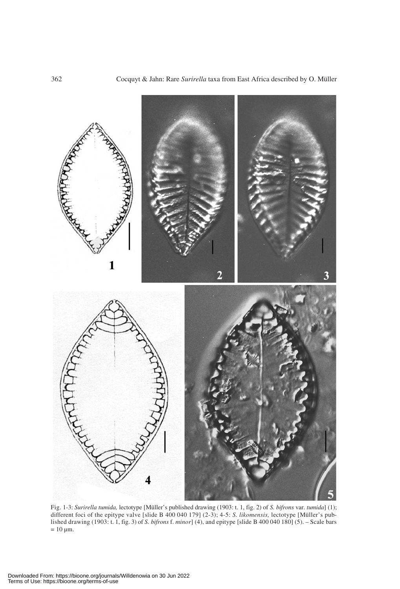

Fig. 1-3: *Surirella tumida,* lectotype [Müller's published drawing (1903: t. 1, fig. 2) of *S. bifrons* var. *tumida*] (1); different foci of the epitype valve [slide B 400 040 179] (2-3); 4-5: *S. likomensis,* lectotype [Müller's published drawing (1903: t. 1, fig. 3) of *S. bifrons* f. *minor*] (4), and epitype [slide B 400 040 180] (5). – Scale bars  $= 10 \mu m$ .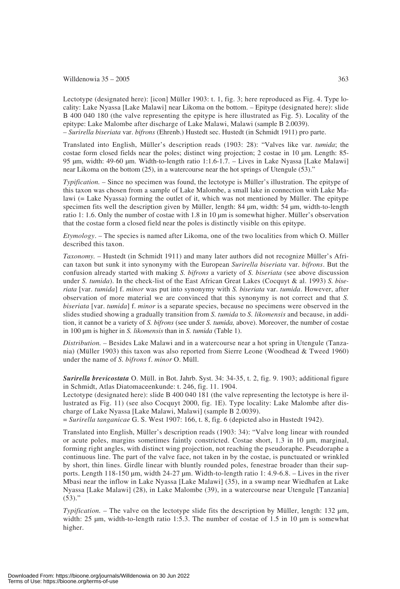Lectotype (designated here): [icon] Müller 1903: t. 1, fig. 3; here reproduced as Fig. 4. Type locality: Lake Nyassa [Lake Malawi] near Likoma on the bottom. – Epitype (designated here): slide B 400 040 180 (the valve representing the epitype is here illustrated as Fig. 5). Locality of the epitype: Lake Malombe after discharge of Lake Malawi, Malawi (sample B 2.0039). – *Surirella biseriata* var. *bifrons* (Ehrenb.) Hustedt sec. Hustedt (in Schmidt 1911) pro parte.

Translated into English, Müller's description reads (1903: 28): "Valves like var. *tumida*; the costae form closed fields near the poles; distinct wing projection; 2 costae in 10 μm. Length: 85- 95 μm, width: 49-60 μm. Width-to-length ratio 1:1.6-1.7. – Lives in Lake Nyassa [Lake Malawi] near Likoma on the bottom (25), in a watercourse near the hot springs of Utengule (53)."

*Typification.* – Since no specimen was found, the lectotype is Müller's illustration. The epitype of this taxon was chosen from a sample of Lake Malombe, a small lake in connection with Lake Malawi (= Lake Nyassa) forming the outlet of it, which was not mentioned by Müller. The epitype specimen fits well the description given by Müller, length: 84 μm, width: 54 μm, width-to-length ratio 1: 1.6. Only the number of costae with 1.8 in 10 μm is somewhat higher. Müller's observation that the costae form a closed field near the poles is distinctly visible on this epitype.

*Etymology*. – The species is named after Likoma, one of the two localities from which O. Müller described this taxon.

*Taxonomy.* – Hustedt (in Schmidt 1911) and many later authors did not recognize Müller's African taxon but sunk it into synonymy with the European *Surirella biseriata* var. *bifrons*. But the confusion already started with making *S. bifrons* a variety of *S. biseriata* (see above discussion under *S. tumida*). In the check-list of the East African Great Lakes (Cocquyt & al. 1993) *S. biseriata* [var. *tumida*] f. *minor* was put into synonymy with *S. biseriata* var. *tumida*. However, after observation of more material we are convinced that this synonymy is not correct and that *S. biseriata* [var. *tumida*] f. *minor* is a separate species, because no specimens were observed in the slides studied showing a gradually transition from *S. tumida* to *S. likomensis* and because, in addition, it cannot be a variety of *S. bifrons* (see under *S. tumida,* above). Moreover, the number of costae in 100 μm is higher in *S. likomensis* than in *S. tumida* (Table 1).

*Distribution. –* Besides Lake Malawi and in a watercourse near a hot spring in Utengule (Tanzania) (Müller 1903) this taxon was also reported from Sierre Leone (Woodhead & Tweed 1960) under the name of *S. bifrons* f. *minor* O. Müll.

*Surirella brevicostata* O. Müll. in Bot. Jahrb. Syst. 34: 34-35, t. 2, fig. 9. 1903; additional figure in Schmidt, Atlas Diatomaceenkunde: t. 246, fig. 11. 1904.

Lectotype (designated here): slide B 400 040 181 (the valve representing the lectotype is here illustrated as Fig. 11) (see also Cocquyt 2000, fig. 1E). Type locality: Lake Malombe after discharge of Lake Nyassa [Lake Malawi, Malawi] (sample B 2.0039).

= *Surirella tanganicae* G. S. West 1907: 166, t. 8, fig. 6 (depicted also in Hustedt 1942).

Translated into English, Müller's description reads (1903: 34): "Valve long linear with rounded or acute poles, margins sometimes faintly constricted. Costae short, 1.3 in 10 μm, marginal, forming right angles, with distinct wing projection, not reaching the pseudoraphe. Pseudoraphe a continuous line. The part of the valve face, not taken in by the costae, is punctuated or wrinkled by short, thin lines. Girdle linear with bluntly rounded poles, fenestrae broader than their supports. Length 118-150 μm, width 24-27 μm. Width-to-length ratio 1: 4.9-6.8. – Lives in the river Mbasi near the inflow in Lake Nyassa [Lake Malawi] (35), in a swamp near Wiedhafen at Lake Nyassa [Lake Malawi] (28), in Lake Malombe (39), in a watercourse near Utengule [Tanzania]  $(53)$ ."

*Typification.* – The valve on the lectotype slide fits the description by Müller, length: 132 μm, width:  $25 \mu m$ , width-to-length ratio 1:5.3. The number of costae of 1.5 in 10  $\mu m$  is somewhat higher.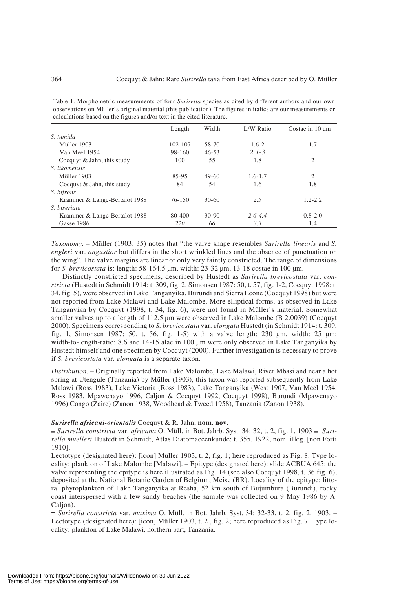| Length  | Width     | L/W Ratio   | Costae in 10 um |  |  |  |  |  |  |  |
|---------|-----------|-------------|-----------------|--|--|--|--|--|--|--|
|         |           |             |                 |  |  |  |  |  |  |  |
| 102-107 | 58-70     | $1.6 - 2$   | 1.7             |  |  |  |  |  |  |  |
| 98-160  | $46 - 53$ | $2.1 - 3$   |                 |  |  |  |  |  |  |  |
| 100     | 55        | 1.8         | 2               |  |  |  |  |  |  |  |
|         |           |             |                 |  |  |  |  |  |  |  |
| 85-95   | $49-60$   | $1.6 - 1.7$ | 2               |  |  |  |  |  |  |  |
| 84      | 54        | 1.6         | 1.8             |  |  |  |  |  |  |  |
|         |           |             |                 |  |  |  |  |  |  |  |
| 76-150  | $30-60$   | 2.5         | $1.2 - 2.2$     |  |  |  |  |  |  |  |
|         |           |             |                 |  |  |  |  |  |  |  |
| 80-400  | $30-90$   | $2.6 - 4.4$ | $0.8 - 2.0$     |  |  |  |  |  |  |  |
| 220     | 66        | 3.3         | 1.4             |  |  |  |  |  |  |  |
|         |           |             |                 |  |  |  |  |  |  |  |

Table 1. Morphometric measurements of four *Surirella* species as cited by different authors and our own observations on Müller's original material (this publication). The figures in italics are our measurements or calculations based on the figures and/or text in the cited literature.

*Taxonomy.* – Müller (1903: 35) notes that "the valve shape resembles *Surirella linearis* and *S. engleri* var. *angustior* but differs in the short wrinkled lines and the absence of punctuation on the wing". The valve margins are linear or only very faintly constricted. The range of dimensions for *S. brevicostata* is: length: 58-164.5 μm, width: 23-32 μm, 13-18 costae in 100 μm.

Distinctly constricted specimens, described by Hustedt as *Surirella brevicostata* var. *constricta* (Hustedt in Schmidt 1914: t. 309, fig. 2, Simonsen 1987: 50, t. 57, fig. 1-2, Cocquyt 1998: t. 34, fig. 5), were observed in Lake Tanganyika, Burundi and Sierra Leone (Cocquyt 1998) but were not reported from Lake Malawi and Lake Malombe. More elliptical forms, as observed in Lake Tanganyika by Cocquyt (1998, t. 34, fig. 6), were not found in Müller's material. Somewhat smaller valves up to a length of 112.5 μm were observed in Lake Malombe (B 2.0039) (Cocquyt 2000). Specimens corresponding to *S. brevicostata* var. *elongata* Hustedt (in Schmidt 1914: t. 309, fig. 1, Simonsen 1987: 50, t. 56, fig. 1-5) with a valve length: 230 μm, width: 25 μm; width-to-length-ratio: 8.6 and 14-15 alae in 100 μm were only observed in Lake Tanganyika by Hustedt himself and one specimen by Cocquyt (2000). Further investigation is necessary to prove if *S. brevicostata* var. *elongata* is a separate taxon.

*Distribution. –* Originally reported from Lake Malombe, Lake Malawi, River Mbasi and near a hot spring at Utengule (Tanzania) by Müller (1903), this taxon was reported subsequently from Lake Malawi (Ross 1983), Lake Victoria (Ross 1983), Lake Tanganyika (West 1907, Van Meel 1954, Ross 1983, Mpawenayo 1996, Caljon & Cocquyt 1992, Cocquyt 1998), Burundi (Mpawenayo 1996) Congo (Zaire) (Zanon 1938, Woodhead & Tweed 1958), Tanzania (Zanon 1938).

#### *Surirella africani-orientalis* Cocquyt & R. Jahn, **nom. nov.**

≡ *Surirella constricta* var. *africana* O. Müll. in Bot. Jahrb. Syst. 34: 32, t. 2, fig. 1. 1903 ≡ *Surirella muelleri* Hustedt in Schmidt, Atlas Diatomaceenkunde: t. 355. 1922, nom. illeg. [non Forti 1910].

Lectotype (designated here): [icon] Müller 1903, t. 2, fig. 1; here reproduced as Fig. 8. Type locality: plankton of Lake Malombe [Malawi]. – Epitype (designated here): slide ACBUA 645; the valve representing the epitype is here illustrated as Fig. 14 (see also Cocquyt 1998, t. 36 fig. 6), deposited at the National Botanic Garden of Belgium, Meise (BR). Locality of the epitype: littoral phytoplankton of Lake Tanganyika at Resha, 52 km south of Bujumbura (Burundi), rocky coast interspersed with a few sandy beaches (the sample was collected on 9 May 1986 by A. Calion).

= *Surirella constricta* var. *maxima* O. Müll. in Bot. Jahrb. Syst. 34: 32-33, t. 2, fig. 2. 1903. – Lectotype (designated here): [icon] Müller 1903, t. 2 , fig. 2; here reproduced as Fig. 7. Type locality: plankton of Lake Malawi, northern part, Tanzania.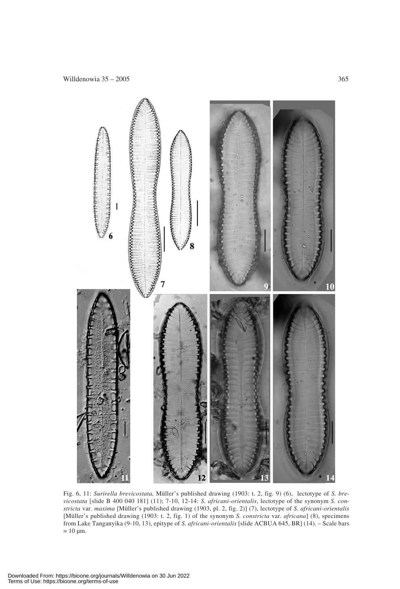

Fig. 6, 11: *Surirella brevicostata,* Müller's published drawing (1903: t. 2, fig. 9) (6), lectotype of *S. brevicostata* [slide B 400 040 181] (11); 7-10, 12-14: *S. africani-orientalis*, lectotype of the synonym *S. constricta* var. *maxima* [Müller's published drawing (1903, pl. 2, fig. 2)] (7), lectotype of *S. africani-orientalis* [Müller's published drawing (1903: t. 2, fig. 1) of the synonym *S. constricta* var. *africana*] (8), specimens from Lake Tanganyika (9-10, 13), epitype of *S. africani-orientalis* [slide ACBUA 645, BR] (14). – Scale bars  $= 10 \mu m$ .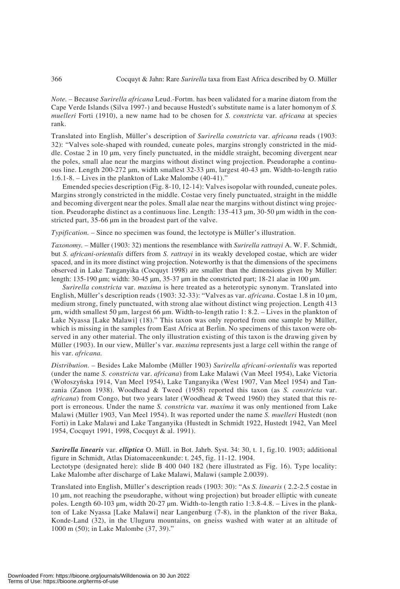*Note.* – Because *Surirella africana* Leud.-Fortm. has been validated for a marine diatom from the Cape Verde Islands (Silva 1997-) and because Hustedt's substitute name is a later homonym of *S. muelleri* Forti (1910), a new name had to be chosen for *S. constricta* var. *africana* at species rank.

Translated into English, Müller's description of *Surirella constricta* var. *africana* reads (1903: 32): "Valves sole-shaped with rounded, cuneate poles, margins strongly constricted in the middle. Costae 2 in 10 μm, very finely punctuated, in the middle straight, becoming divergent near the poles, small alae near the margins without distinct wing projection. Pseudoraphe a continuous line. Length 200-272 μm, width smallest 32-33 μm, largest 40-43 μm. Width-to-length ratio 1:6.1-8. – Lives in the plankton of Lake Malombe (40-41)."

Emended species description (Fig. 8-10, 12-14): Valves isopolar with rounded, cuneate poles. Margins strongly constricted in the middle. Costae very finely punctuated, straight in the middle and becoming divergent near the poles. Small alae near the margins without distinct wing projection. Pseudoraphe distinct as a continuous line. Length: 135-413 μm, 30-50 μm width in the constricted part, 35-66 μm in the broadest part of the valve.

*Typification.* – Since no specimen was found, the lectotype is Müller's illustration.

*Taxonomy.* – Müller (1903: 32) mentions the resemblance with *Surirella rattrayi* A. W. F. Schmidt, but *S. africani-orientalis* differs from *S. rattrayi* in its weakly developed costae, which are wider spaced, and in its more distinct wing projection. Noteworthy is that the dimensions of the specimens observed in Lake Tanganyika (Cocquyt 1998) are smaller than the dimensions given by Müller: length: 135-190 μm; width: 30-45 μm, 35-37 μm in the constricted part; 18-21 alae in 100 μm.

*Surirella constricta* var. *maxima* is here treated as a heterotypic synonym. Translated into English, Müller's description reads (1903: 32-33): "Valves as var. *africana*. Costae 1.8 in 10 μm, medium strong, finely punctuated, with strong alae without distinct wing projection. Length 413 μm, width smallest 50 μm, largest 66 μm. Width-to-length ratio 1: 8.2. – Lives in the plankton of Lake Nyassa [Lake Malawi] (18)." This taxon was only reported from one sample by Müller, which is missing in the samples from East Africa at Berlin. No specimens of this taxon were observed in any other material. The only illustration existing of this taxon is the drawing given by Müller (1903). In our view, Müller's var. *maxima* represents just a large cell within the range of his var. *africana.*

*Distribution. –* Besides Lake Malombe (Müller 1903) *Surirella africani-orientalis* was reported (under the name *S. constricta* var. *africana*) from Lake Malawi (Van Meel 1954), Lake Victoria (Wołoszyńska 1914, Van Meel 1954), Lake Tanganyika (West 1907, Van Meel 1954) and Tanzania (Zanon 1938). Woodhead & Tweed (1958) reported this taxon (as *S. constricta* var. *africana*) from Congo, but two years later (Woodhead & Tweed 1960) they stated that this report is erroneous. Under the name *S. constricta* var. *maxima* it was only mentioned from Lake Malawi (Müller 1903, Van Meel 1954). It was reported under the name *S. muelleri* Hustedt (non Forti) in Lake Malawi and Lake Tanganyika (Hustedt in Schmidt 1922, Hustedt 1942, Van Meel 1954, Cocquyt 1991, 1998, Cocquyt & al. 1991).

*Surirella linearis* var. *elliptica* O. Müll. in Bot. Jahrb. Syst. 34: 30, t. 1, fig.10. 1903; additional figure in Schmidt, Atlas Diatomaceenkunde: t. 245, fig. 11-12. 1904.

Lectotype (designated here): slide B 400 040 182 (here illustrated as Fig. 16). Type locality: Lake Malombe after discharge of Lake Malawi, Malawi (sample 2.0039).

Translated into English, Müller's description reads (1903: 30): "As *S. linearis* ( 2.2-2.5 costae in 10 μm, not reaching the pseudoraphe, without wing projection) but broader elliptic with cuneate poles. Length 60-103 μm, width 20-27 μm. Width-to-length ratio 1:3.8-4.8. – Lives in the plankton of Lake Nyassa [Lake Malawi] near Langenburg (7-8), in the plankton of the river Baka, Konde-Land (32), in the Uluguru mountains, on gneiss washed with water at an altitude of 1000 m (50); in Lake Malombe (37, 39)."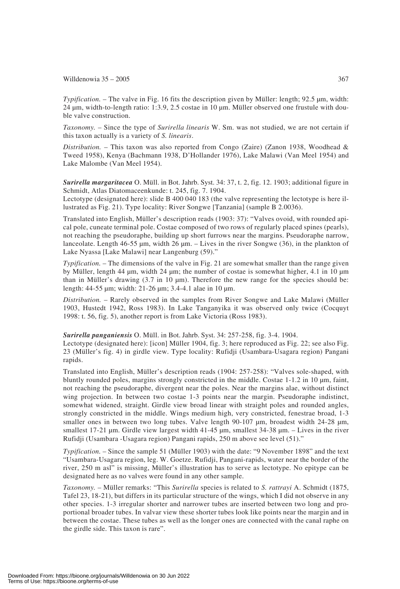*Typification.* – The valve in Fig. 16 fits the description given by Müller: length; 92.5 μm, width: 24 μm, width-to-length ratio: 1:3.9, 2.5 costae in 10 μm. Müller observed one frustule with double valve construction.

*Taxonomy.* – Since the type of *Surirella linearis* W. Sm. was not studied, we are not certain if this taxon actually is a variety of *S. linearis*.

*Distribution.* – This taxon was also reported from Congo (Zaire) (Zanon 1938, Woodhead & Tweed 1958), Kenya (Bachmann 1938, D'Hollander 1976), Lake Malawi (Van Meel 1954) and Lake Malombe (Van Meel 1954).

*Surirella margaritacea* O. Müll. in Bot. Jahrb. Syst. 34: 37, t. 2, fig. 12. 1903; additional figure in Schmidt, Atlas Diatomaceenkunde: t. 245, fig. 7. 1904.

Lectotype (designated here): slide B 400 040 183 (the valve representing the lectotype is here illustrated as Fig. 21). Type locality: River Songwe [Tanzania] (sample B 2.0036).

Translated into English, Müller's description reads (1903: 37): "Valves ovoid, with rounded apical pole, cuneate terminal pole. Costae composed of two rows of regularly placed spines (pearls), not reaching the pseudoraphe, building up short furrows near the margins. Pseudoraphe narrow, lanceolate. Length 46-55 μm, width 26 μm. – Lives in the river Songwe (36), in the plankton of Lake Nyassa [Lake Malawi] near Langenburg (59)."

*Typification.* – The dimensions of the valve in Fig. 21 are somewhat smaller than the range given by Müller, length 44 μm, width 24 μm; the number of costae is somewhat higher, 4.1 in 10 μm than in Müller's drawing (3.7 in 10 μm). Therefore the new range for the species should be: length: 44-55 μm; width: 21-26 μm; 3.4-4.1 alae in 10 μm.

*Distribution.* – Rarely observed in the samples from River Songwe and Lake Malawi (Müller 1903, Hustedt 1942, Ross 1983). In Lake Tanganyika it was observed only twice (Cocquyt 1998: t. 56, fig. 5), another report is from Lake Victoria (Ross 1983).

#### *Surirella panganiensis* O. Müll. in Bot. Jahrb. Syst. 34: 257-258, fig. 3-4. 1904.

Lectotype (designated here): [icon] Müller 1904, fig. 3; here reproduced as Fig. 22; see also Fig. 23 (Müller's fig. 4) in girdle view. Type locality: Rufidji (Usambara-Usagara region) Pangani rapids.

Translated into English, Müller's description reads (1904: 257-258): "Valves sole-shaped, with bluntly rounded poles, margins strongly constricted in the middle. Costae 1-1.2 in 10 μm, faint, not reaching the pseudoraphe, divergent near the poles. Near the margins alae, without distinct wing projection. In between two costae 1-3 points near the margin. Pseudoraphe indistinct, somewhat widened, straight. Girdle view broad linear with straight poles and rounded angles, strongly constricted in the middle. Wings medium high, very constricted, fenestrae broad, 1-3 smaller ones in between two long tubes. Valve length 90-107 μm, broadest width 24-28 μm, smallest 17-21 μm. Girdle view largest width 41-45 μm, smallest 34-38 μm. – Lives in the river Rufidji (Usambara -Usagara region) Pangani rapids, 250 m above see level (51)."

*Typification.* – Since the sample 51 (Müller 1903) with the date: "9 November 1898" and the text "Usambara-Usagara region, leg. W. Goetze. Rufidji, Pangani-rapids, water near the border of the river, 250 m asl" is missing, Müller's illustration has to serve as lectotype. No epitype can be designated here as no valves were found in any other sample.

*Taxonomy.* – Müller remarks: "This *Surirella* species is related to *S. rattrayi* A. Schmidt (1875, Tafel 23, 18-21), but differs in its particular structure of the wings, which I did not observe in any other species. 1-3 irregular shorter and narrower tubes are inserted between two long and proportional broader tubes. In valvar view these shorter tubes look like points near the margin and in between the costae. These tubes as well as the longer ones are connected with the canal raphe on the girdle side. This taxon is rare".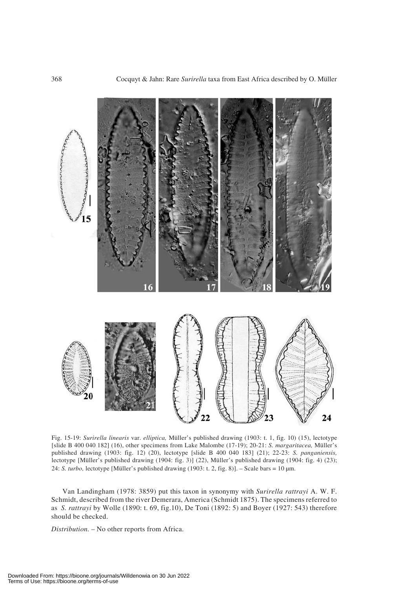

Fig. 15-19: *Surirella linearis* var. *elliptica,* Müller's published drawing (1903: t. 1, fig. 10) (15), lectotype [slide B 400 040 182] (16), other specimens from Lake Malombe (17-19); 20-21: *S. margaritacea,* Müller's published drawing (1903: fig. 12) (20), lectotype [slide B 400 040 183] (21); 22-23: *S. panganiensis,* lectotype [Müller's published drawing (1904: fig. 3)] (22), Müller's published drawing (1904: fig. 4) (23); 24: *S. turbo,* lectotype [Müller's published drawing (1903: t. 2, fig. 8)]. – Scale bars = 10 μm.

Van Landingham (1978: 3859) put this taxon in synonymy with *Surirella rattrayi* A. W. F. Schmidt, described from the river Demerara, America (Schmidt 1875). The specimens referred to as *S. rattrayi* by Wolle (1890: t. 69, fig.10), De Toni (1892: 5) and Boyer (1927: 543) therefore should be checked.

*Distribution.* – No other reports from Africa.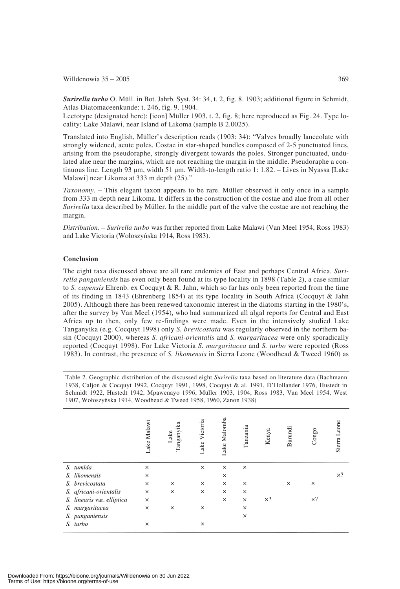*Surirella turbo* O. Müll. in Bot. Jahrb. Syst. 34: 34, t. 2, fig. 8. 1903; additional figure in Schmidt, Atlas Diatomaceenkunde: t. 246, fig. 9. 1904.

Lectotype (designated here): [icon] Müller 1903, t. 2, fig. 8; here reproduced as Fig. 24. Type locality: Lake Malawi, near Island of Likoma (sample B 2.0025).

Translated into English, Müller's description reads (1903: 34): "Valves broadly lanceolate with strongly widened, acute poles. Costae in star-shaped bundles composed of 2-5 punctuated lines, arising from the pseudoraphe, strongly divergent towards the poles. Stronger punctuated, undulated alae near the margins, which are not reaching the margin in the middle. Pseudoraphe a continuous line. Length 93 μm, width 51 μm. Width-to-length ratio 1: 1.82. – Lives in Nyassa [Lake Malawi] near Likoma at 333 m depth (25)."

*Taxonomy.* – This elegant taxon appears to be rare. Müller observed it only once in a sample from 333 m depth near Likoma. It differs in the construction of the costae and alae from all other *Surirella* taxa described by Müller. In the middle part of the valve the costae are not reaching the margin.

*Distribution.* – *Surirella turbo* was further reported from Lake Malawi (Van Meel 1954, Ross 1983) and Lake Victoria (Wołoszyńska 1914, Ross 1983).

#### **Conclusion**

The eight taxa discussed above are all rare endemics of East and perhaps Central Africa. *Surirella panganiensis* has even only been found at its type locality in 1898 (Table 2), a case similar to *S. capensis* Ehrenb. ex Cocquyt & R. Jahn, which so far has only been reported from the time of its finding in 1843 (Ehrenberg 1854) at its type locality in South Africa (Cocquyt & Jahn 2005). Although there has been renewed taxonomic interest in the diatoms starting in the 1980's, after the survey by Van Meel (1954), who had summarized all algal reports for Central and East Africa up to then, only few re-findings were made. Even in the intensively studied Lake Tanganyika (e.g. Cocquyt 1998) only *S. brevicostata* was regularly observed in the northern basin (Cocquyt 2000), whereas *S. africani-orientalis* and *S. margaritacea* were only sporadically reported (Cocquyt 1998). For Lake Victoria *S. margaritacea* and *S. turbo* were reported (Ross 1983). In contrast, the presence of *S. likomensis* in Sierra Leone (Woodhead & Tweed 1960) as

Table 2. Geographic distribution of the discussed eight *Surirella* taxa based on literature data (Bachmann 1938, Caljon & Cocquyt 1992, Cocquyt 1991, 1998, Cocquyt & al. 1991, D'Hollander 1976, Hustedt in Schmidt 1922, Hustedt 1942, Mpawenayo 1996, Müller 1903, 1904, Ross 1983, Van Meel 1954, West 1907, Wołoszyńska 1914, Woodhead & Tweed 1958, 1960, Zanon 1938)

|                            | Lake Malawi | Tanganyik<br>Lake | Lake Victoria | Lake Malomba | Tanzania | Kenya      | Burundi  | Congo     | cone<br>Sierra L |
|----------------------------|-------------|-------------------|---------------|--------------|----------|------------|----------|-----------|------------------|
| S. tumida                  | $\times$    |                   | $\times$      | $\times$     | $\times$ |            |          |           |                  |
| S. likomensis              | $\times$    |                   |               | $\times$     |          |            |          |           | $\times$ ?       |
| S. brevicostata            | $\times$    | $\times$          | $\times$      | $\times$     | $\times$ |            | $\times$ | $\times$  |                  |
| S. africani-orientalis     | $\times$    | $\times$          | $\times$      | $\times$     | $\times$ |            |          |           |                  |
| S. linearis var. elliptica | $\times$    |                   |               | $\times$     | $\times$ | $\times$ ? |          | $\times?$ |                  |
| S. margaritacea            | $\times$    | $\times$          | $\times$      |              | $\times$ |            |          |           |                  |
| S. panganiensis            |             |                   |               |              | $\times$ |            |          |           |                  |
| S. turbo                   | $\times$    |                   | $\times$      |              |          |            |          |           |                  |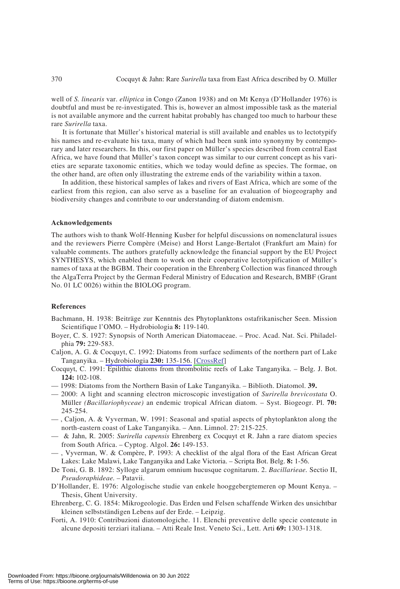well of *S. linearis* var. *elliptica* in Congo (Zanon 1938) and on Mt Kenya (D'Hollander 1976) is doubtful and must be re-investigated. This is, however an almost impossible task as the material is not available anymore and the current habitat probably has changed too much to harbour these rare *Surirella* taxa.

It is fortunate that Müller's historical material is still available and enables us to lectotypify his names and re-evaluate his taxa, many of which had been sunk into synonymy by contemporary and later researchers. In this, our first paper on Müller's species described from central East Africa, we have found that Müller's taxon concept was similar to our current concept as his varieties are separate taxonomic entities, which we today would define as species. The formae, on the other hand, are often only illustrating the extreme ends of the variability within a taxon.

In addition, these historical samples of lakes and rivers of East Africa, which are some of the earliest from this region, can also serve as a baseline for an evaluation of biogeography and biodiversity changes and contribute to our understanding of diatom endemism.

### **Acknowledgements**

The authors wish to thank Wolf-Henning Kusber for helpful discussions on nomenclatural issues and the reviewers Pierre Compère (Meise) and Horst Lange-Bertalot (Frankfurt am Main) for valuable comments. The authors gratefully acknowledge the financial support by the EU Project SYNTHESYS, which enabled them to work on their cooperative lectotypification of Müller's names of taxa at the BGBM. Their cooperation in the Ehrenberg Collection was financed through the AlgaTerra Project by the German Federal Ministry of Education and Research, BMBF (Grant No. 01 LC 0026) within the BIOLOG program.

#### **References**

- Bachmann, H. 1938: Beiträge zur Kenntnis des Phytoplanktons ostafrikanischer Seen. Mission Scientifique l'OMO. – Hydrobiologia **8:** 119-140.
- Boyer, C. S. 1927: Synopsis of North American Diatomaceae. Proc. Acad. Nat. Sci. Philadelphia **79:** 229-583.
- Caljon, A. G. & Cocquyt, C. 1992: Diatoms from surface sediments of the northern part of Lake Tanganyika. – Hydrobiologia **230:** 135-156. [CrossRef]
- Cocquyt, C. 1991: Epilithic diatoms from thrombolitic reefs of Lake Tanganyika. Belg. J. Bot. **124:** 102-108.
- 1998: Diatoms from the Northern Basin of Lake Tanganyika. Biblioth. Diatomol. **39.**
- 2000: A light and scanning electron microscopic investigation of *Surirella brevicostata* O. Müller *(Bacillariophyceae)* an endemic tropical African diatom. – Syst. Biogeogr. Pl. **70:** 245-254.
- , Caljon, A. & Vyverman, W. 1991: Seasonal and spatial aspects of phytoplankton along the north-eastern coast of Lake Tanganyika. – Ann. Limnol. 27: 215-225.
- & Jahn, R. 2005: *Surirella capensis* Ehrenberg ex Cocquyt et R. Jahn a rare diatom species from South Africa. – Cyptog. Algol. **26:** 149-153.
- , Vyverman, W. & Compère, P. 1993: A checklist of the algal flora of the East African Great Lakes: Lake Malawi, Lake Tanganyika and Lake Victoria. – Scripta Bot. Belg. **8:** 1-56.
- De Toni, G. B. 1892: Sylloge algarum omnium hucusque cognitarum. 2. *Bacillarieae.* Sectio II, *Pseudoraphideae.* – Patavii.
- D'Hollander, E. 1976: Algologische studie van enkele hooggebergtemeren op Mount Kenya. Thesis, Ghent University.
- Ehrenberg, C. G. 1854: Mikrogeologie. Das Erden und Felsen schaffende Wirken des unsichtbar kleinen selbstständigen Lebens auf der Erde. – Leipzig.
- Forti, A. 1910: Contribuzioni diatomologiche. 11. Elenchi preventive delle specie contenute in alcune depositi terziari italiana. – Atti Reale Inst. Veneto Sci., Lett. Arti **69:** 1303-1318.